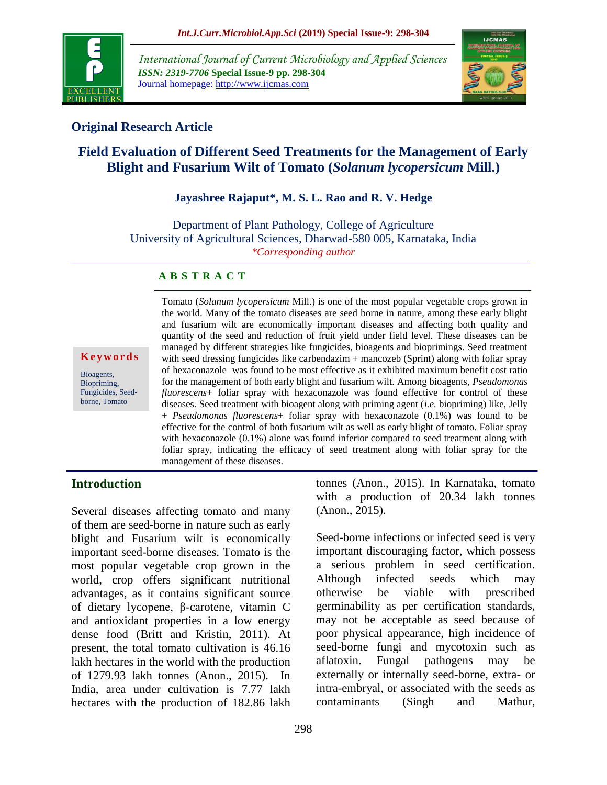

*International Journal of Current Microbiology and Applied Sciences ISSN: 2319-7706* **Special Issue-9 pp. 298-304** Journal homepage: http://www.ijcmas.com



## **Original Research Article**

# **Field Evaluation of Different Seed Treatments for the Management of Early Blight and Fusarium Wilt of Tomato (***Solanum lycopersicum* **Mill.)**

### **Jayashree Rajaput\*, M. S. L. Rao and R. V. Hedge**

Department of Plant Pathology, College of Agriculture University of Agricultural Sciences, Dharwad-580 005, Karnataka, India *\*Corresponding author*

### **A B S T R A C T**

#### **K e y w o r d s**

Bioagents, Biopriming, Fungicides, Seedborne, Tomato

Tomato (*Solanum lycopersicum* Mill.) is one of the most popular vegetable crops grown in the world. Many of the tomato diseases are seed borne in nature, among these early blight and fusarium wilt are economically important diseases and affecting both quality and quantity of the seed and reduction of fruit yield under field level. These diseases can be managed by different strategies like fungicides, bioagents and bioprimings. Seed treatment with seed dressing fungicides like carbendazim + mancozeb (Sprint) along with foliar spray of hexaconazole was found to be most effective as it exhibited maximum benefit cost ratio for the management of both early blight and fusarium wilt. Among bioagents, *Pseudomonas fluorescens*+ foliar spray with hexaconazole was found effective for control of these diseases. Seed treatment with bioagent along with priming agent (*i.e.* biopriming) like, Jelly + *Pseudomonas fluorescens*+ foliar spray with hexaconazole (0.1%) was found to be effective for the control of both fusarium wilt as well as early blight of tomato. Foliar spray with hexaconazole (0.1%) alone was found inferior compared to seed treatment along with foliar spray, indicating the efficacy of seed treatment along with foliar spray for the management of these diseases.

### **Introduction**

Several diseases affecting tomato and many of them are seed-borne in nature such as early blight and Fusarium wilt is economically important seed-borne diseases. Tomato is the most popular vegetable crop grown in the world, crop offers significant nutritional advantages, as it contains significant source of dietary lycopene, β-carotene, vitamin C and antioxidant properties in a low energy dense food (Britt and Kristin, 2011). At present, the total tomato cultivation is 46.16 lakh hectares in the world with the production of 1279.93 lakh tonnes (Anon., 2015). In India, area under cultivation is 7.77 lakh hectares with the production of 182.86 lakh tonnes (Anon., 2015). In Karnataka, tomato with a production of 20.34 lakh tonnes (Anon., 2015).

Seed-borne infections or infected seed is very important discouraging factor, which possess a serious problem in seed certification. Although infected seeds which may otherwise be viable with prescribed germinability as per certification standards, may not be acceptable as seed because of poor physical appearance, high incidence of seed-borne fungi and mycotoxin such as aflatoxin. Fungal pathogens may be externally or internally seed-borne, extra- or intra-embryal, or associated with the seeds as contaminants (Singh and Mathur,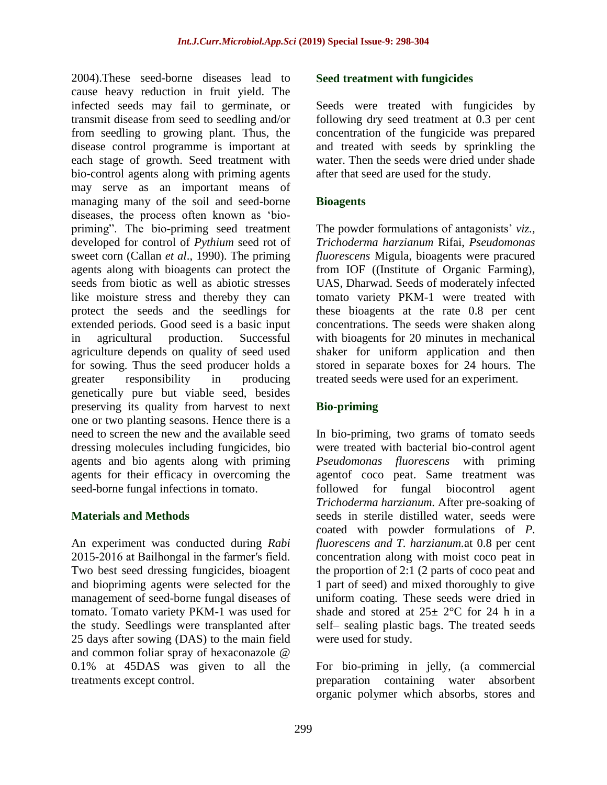2004).These seed-borne diseases lead to cause heavy reduction in fruit yield. The infected seeds may fail to germinate, or transmit disease from seed to seedling and/or from seedling to growing plant. Thus, the disease control programme is important at each stage of growth. Seed treatment with bio-control agents along with priming agents may serve as an important means of managing many of the soil and seed-borne diseases, the process often known as 'biopriming". The bio-priming seed treatment developed for control of *Pythium* seed rot of sweet corn (Callan *et al*., 1990). The priming agents along with bioagents can protect the seeds from biotic as well as abiotic stresses like moisture stress and thereby they can protect the seeds and the seedlings for extended periods. Good seed is a basic input in agricultural production. Successful agriculture depends on quality of seed used for sowing. Thus the seed producer holds a greater responsibility in producing genetically pure but viable seed, besides preserving its quality from harvest to next one or two planting seasons. Hence there is a need to screen the new and the available seed dressing molecules including fungicides, bio agents and bio agents along with priming agents for their efficacy in overcoming the seed-borne fungal infections in tomato.

### **Materials and Methods**

An experiment was conducted during *Rabi* 2015-2016 at Bailhongal in the farmer′s field. Two best seed dressing fungicides, bioagent and biopriming agents were selected for the management of seed-borne fungal diseases of tomato. Tomato variety PKM-1 was used for the study. Seedlings were transplanted after 25 days after sowing (DAS) to the main field and common foliar spray of hexaconazole @ 0.1% at 45DAS was given to all the treatments except control.

### **Seed treatment with fungicides**

Seeds were treated with fungicides by following dry seed treatment at 0.3 per cent concentration of the fungicide was prepared and treated with seeds by sprinkling the water. Then the seeds were dried under shade after that seed are used for the study.

### **Bioagents**

The powder formulations of antagonists' *viz., Trichoderma harzianum* Rifai, *Pseudomonas fluorescens* Migula, bioagents were pracured from IOF ((Institute of Organic Farming), UAS, Dharwad. Seeds of moderately infected tomato variety PKM-1 were treated with these bioagents at the rate 0.8 per cent concentrations. The seeds were shaken along with bioagents for 20 minutes in mechanical shaker for uniform application and then stored in separate boxes for 24 hours. The treated seeds were used for an experiment.

### **Bio-priming**

In bio-priming, two grams of tomato seeds were treated with bacterial bio-control agent *Pseudomonas fluorescens* with priming agentof coco peat. Same treatment was followed for fungal biocontrol agent *Trichoderma harzianum.* After pre-soaking of seeds in sterile distilled water, seeds were coated with powder formulations of *P. fluorescens and T. harzianum.*at 0.8 per cent concentration along with moist coco peat in the proportion of 2:1 (2 parts of coco peat and 1 part of seed) and mixed thoroughly to give uniform coating. These seeds were dried in shade and stored at  $25 \pm 2$ °C for 24 h in a self– sealing plastic bags. The treated seeds were used for study.

For bio-priming in jelly, (a commercial preparation containing water absorbent organic polymer which absorbs, stores and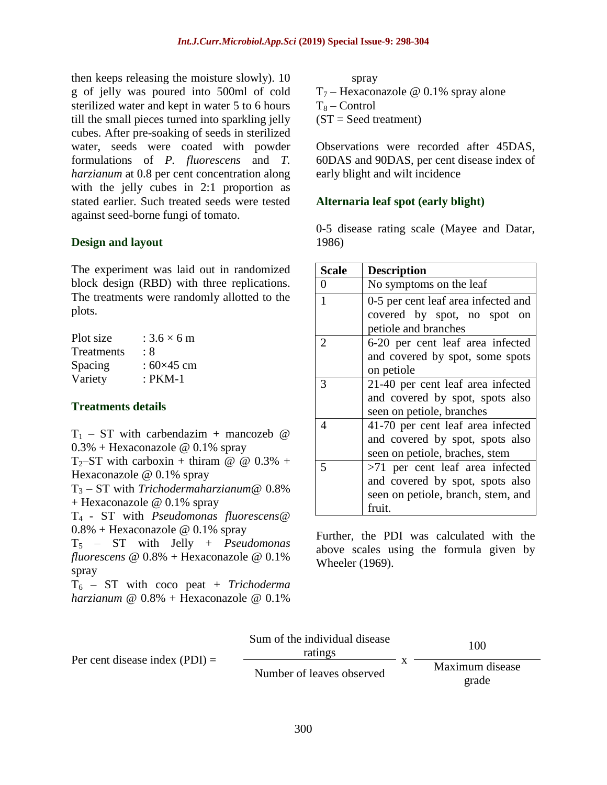then keeps releasing the moisture slowly). 10 g of jelly was poured into 500ml of cold sterilized water and kept in water 5 to 6 hours till the small pieces turned into sparkling jelly cubes. After pre-soaking of seeds in sterilized water, seeds were coated with powder formulations of *P. fluorescens* and *T. harzianum* at 0.8 per cent concentration along with the jelly cubes in 2:1 proportion as stated earlier. Such treated seeds were tested against seed-borne fungi of tomato.

### **Design and layout**

The experiment was laid out in randomized block design (RBD) with three replications. The treatments were randomly allotted to the plots.

| Plot size         | $: 3.6 \times 6$ m |
|-------------------|--------------------|
| <b>Treatments</b> | : 8                |
| Spacing           | : 60×45 cm         |
| Variety           | : PKM-1            |

### **Treatments details**

 $T_1$  – ST with carbendazim + mancozeb @  $0.3\%$  + Hexaconazole @ 0.1% spray T<sub>2</sub>–ST with carboxin + thiram  $\omega \omega 0.3\%$  + Hexaconazole @ 0.1% spray T<sup>3</sup> – ST with *Trichodermaharzianum*@ 0.8% + Hexaconazole @ 0.1% spray T4 *-* ST with *Pseudomonas fluorescens*@  $0.8\%$  + Hexaconazole @ 0.1% spray T<sup>5</sup> – ST with Jelly + *Pseudomonas fluorescens* @ 0.8% + Hexaconazole @ 0.1% spray

T<sup>6</sup> – ST with coco peat + *Trichoderma harzianum* @ 0.8% + Hexaconazole @ 0.1%

spray  $T_7$  – Hexaconazole @ 0.1% spray alone  $T_8 -$ Control  $(ST = \text{Seed treatment})$ 

Observations were recorded after 45DAS, 60DAS and 90DAS, per cent disease index of early blight and wilt incidence

### **Alternaria leaf spot (early blight)**

0-5 disease rating scale (Mayee and Datar, 1986)

| Scale | <b>Description</b>                                                                                                 |
|-------|--------------------------------------------------------------------------------------------------------------------|
| 0     | No symptoms on the leaf                                                                                            |
| 1     | 0-5 per cent leaf area infected and<br>covered by spot, no spot on<br>petiole and branches                         |
| 2     | 6-20 per cent leaf area infected<br>and covered by spot, some spots<br>on petiole                                  |
| 3     | 21-40 per cent leaf area infected<br>and covered by spot, spots also<br>seen on petiole, branches                  |
| 4     | 41-70 per cent leaf area infected<br>and covered by spot, spots also<br>seen on petiole, braches, stem             |
| 5     | >71 per cent leaf area infected<br>and covered by spot, spots also<br>seen on petiole, branch, stem, and<br>fruit. |

Further, the PDI was calculated with the above scales using the formula given by Wheeler (1969).

| Per cent disease index $(PDI) =$ | Sum of the individual disease<br>ratings |  | 100                      |  |
|----------------------------------|------------------------------------------|--|--------------------------|--|
|                                  | Number of leaves observed                |  | Maximum disease<br>grade |  |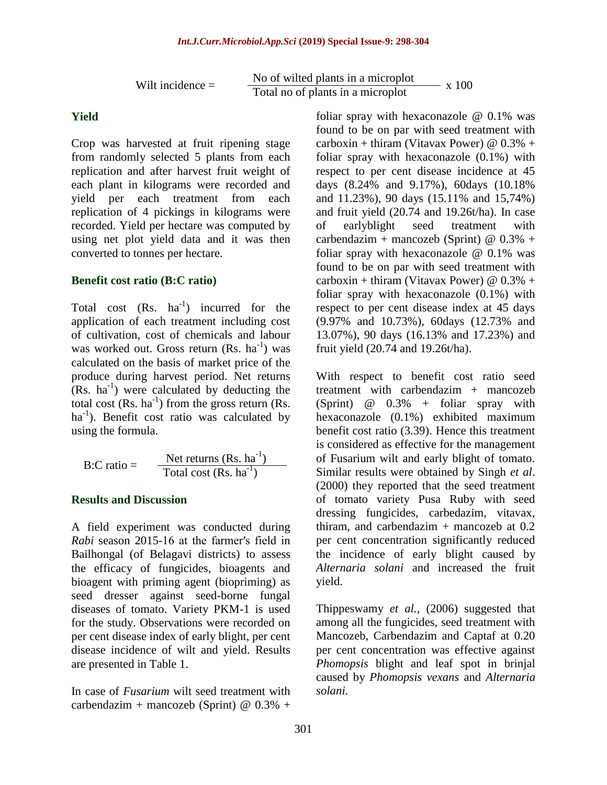Wilt incidence  $=$  No of wilted plants in a microplot  $\overline{\text{Total no of plants in a microplot}}$  x 100

#### **Yield**

Crop was harvested at fruit ripening stage from randomly selected 5 plants from each replication and after harvest fruit weight of each plant in kilograms were recorded and yield per each treatment from each replication of 4 pickings in kilograms were recorded. Yield per hectare was computed by using net plot yield data and it was then converted to tonnes per hectare.

#### **Benefit cost ratio (B:C ratio)**

Total cost  $(Rs. ha^{-1})$  incurred for the application of each treatment including cost of cultivation, cost of chemicals and labour was worked out. Gross return  $(Rs. ha^{-1})$  was calculated on the basis of market price of the produce during harvest period. Net returns  $(Rs. ha<sup>-1</sup>)$  were calculated by deducting the total cost  $(Rs. ha^{-1})$  from the gross return  $(Rs.$ ha<sup>-1</sup>). Benefit cost ratio was calculated by using the formula.

B:C ratio = 
$$
\frac{\text{Net returns (Rs. ha}^{-1})}{\text{Total cost (Rs. ha}^{-1})}
$$

#### **Results and Discussion**

A field experiment was conducted during *Rabi* season 2015-16 at the farmer′s field in Bailhongal (of Belagavi districts) to assess the efficacy of fungicides, bioagents and bioagent with priming agent (biopriming) as seed dresser against seed-borne fungal diseases of tomato. Variety PKM-1 is used for the study. Observations were recorded on per cent disease index of early blight, per cent disease incidence of wilt and yield. Results are presented in Table 1.

In case of *Fusarium* wilt seed treatment with carbendazim + mancozeb (Sprint)  $@$  0.3% + foliar spray with hexaconazole  $\omega$  0.1% was found to be on par with seed treatment with carboxin + thiram (Vitavax Power) @  $0.3\%$  + foliar spray with hexaconazole (0.1%) with respect to per cent disease incidence at 45 days (8.24% and 9.17%), 60days (10.18% and 11.23%), 90 days (15.11% and 15,74%) and fruit yield (20.74 and 19.26t/ha). In case of earlyblight seed treatment with carbendazim + mancozeb (Sprint)  $@ 0.3\% +$ foliar spray with hexaconazole @ 0.1% was found to be on par with seed treatment with carboxin + thiram (Vitavax Power)  $@ 0.3\% +$ foliar spray with hexaconazole (0.1%) with respect to per cent disease index at 45 days (9.97% and 10.73%), 60days (12.73% and 13.07%), 90 days (16.13% and 17.23%) and fruit yield (20.74 and 19.26t/ha).

With respect to benefit cost ratio seed treatment with carbendazim + mancozeb (Sprint) @ 0.3% + foliar spray with hexaconazole (0.1%) exhibited maximum benefit cost ratio (3.39). Hence this treatment is considered as effective for the management of Fusarium wilt and early blight of tomato. Similar results were obtained by Singh *et al*. (2000) they reported that the seed treatment of tomato variety Pusa Ruby with seed dressing fungicides, carbedazim, vitavax, thiram, and carbendazim  $+$  mancozeb at 0.2 per cent concentration significantly reduced the incidence of early blight caused by *Alternaria solani* and increased the fruit yield.

Thippeswamy *et al.,* (2006) suggested that among all the fungicides, seed treatment with Mancozeb, Carbendazim and Captaf at 0.20 per cent concentration was effective against *Phomopsis* blight and leaf spot in brinjal caused by *Phomopsis vexans* and *Alternaria solani.*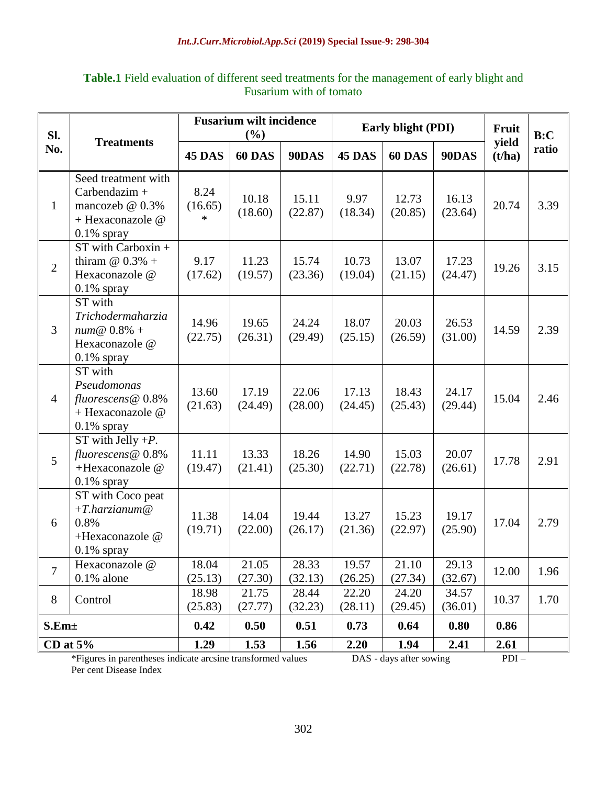| Sl.<br>No.        | <b>Treatments</b>                                                                            | <b>Fusarium wilt incidence</b><br>(%) |                  | Early blight (PDI) |                  |                  | Fruit<br>yield   | B:C    |       |
|-------------------|----------------------------------------------------------------------------------------------|---------------------------------------|------------------|--------------------|------------------|------------------|------------------|--------|-------|
|                   |                                                                                              | 45 DAS                                | 60 DAS           | 90DAS              | 45 DAS           | 60 DAS           | 90DAS            | (t/ha) | ratio |
| $\mathbf{1}$      | Seed treatment with<br>Carbendazim +<br>mancozeb @ 0.3%<br>+ Hexaconazole @<br>$0.1\%$ spray | 8.24<br>(16.65)<br>$\ast$             | 10.18<br>(18.60) | 15.11<br>(22.87)   | 9.97<br>(18.34)  | 12.73<br>(20.85) | 16.13<br>(23.64) | 20.74  | 3.39  |
| $\overline{2}$    | ST with Carboxin +<br>thiram $@$ 0.3% +<br>Hexaconazole @<br>$0.1\%$ spray                   | 9.17<br>(17.62)                       | 11.23<br>(19.57) | 15.74<br>(23.36)   | 10.73<br>(19.04) | 13.07<br>(21.15) | 17.23<br>(24.47) | 19.26  | 3.15  |
| 3                 | ST with<br>Trichodermaharzia<br>$num@0.8% +$<br>Hexaconazole @<br>$0.1\%$ spray              | 14.96<br>(22.75)                      | 19.65<br>(26.31) | 24.24<br>(29.49)   | 18.07<br>(25.15) | 20.03<br>(26.59) | 26.53<br>(31.00) | 14.59  | 2.39  |
| $\overline{4}$    | ST with<br>Pseudomonas<br>fluorescens@ 0.8%<br>+ Hexaconazole @<br>$0.1\%$ spray             | 13.60<br>(21.63)                      | 17.19<br>(24.49) | 22.06<br>(28.00)   | 17.13<br>(24.45) | 18.43<br>(25.43) | 24.17<br>(29.44) | 15.04  | 2.46  |
| 5                 | ST with Jelly $+P$ .<br>fluorescens@ 0.8%<br>+Hexaconazole @<br>$0.1\%$ spray                | 11.11<br>(19.47)                      | 13.33<br>(21.41) | 18.26<br>(25.30)   | 14.90<br>(22.71) | 15.03<br>(22.78) | 20.07<br>(26.61) | 17.78  | 2.91  |
| 6                 | ST with Coco peat<br>$+T.harzianum@$<br>0.8%<br>+Hexaconazole @<br>$0.1\%$ spray             | 11.38<br>(19.71)                      | 14.04<br>(22.00) | 19.44<br>(26.17)   | 13.27<br>(21.36) | 15.23<br>(22.97) | 19.17<br>(25.90) | 17.04  | 2.79  |
| $\overline{7}$    | Hexaconazole @<br>$0.1\%$ alone                                                              | 18.04<br>(25.13)                      | 21.05<br>(27.30) | 28.33<br>(32.13)   | 19.57<br>(26.25) | 21.10<br>(27.34) | 29.13<br>(32.67) | 12.00  | 1.96  |
| 8                 | Control                                                                                      | 18.98<br>(25.83)                      | 21.75<br>(27.77) | 28.44<br>(32.23)   | 22.20<br>(28.11) | 24.20<br>(29.45) | 34.57<br>(36.01) | 10.37  | 1.70  |
| S.Em <sub>±</sub> |                                                                                              | 0.42                                  | 0.50             | 0.51               | 0.73             | 0.64             | 0.80             | 0.86   |       |
| CD at $5%$        |                                                                                              | 1.29                                  | 1.53             | 1.56               | 2.20             | 1.94             | 2.41             | 2.61   |       |

### **Table.1** Field evaluation of different seed treatments for the management of early blight and Fusarium with of tomato

\*Figures in parentheses indicate arcsine transformed values DAS - days after sowing PDI – Per cent Disease Index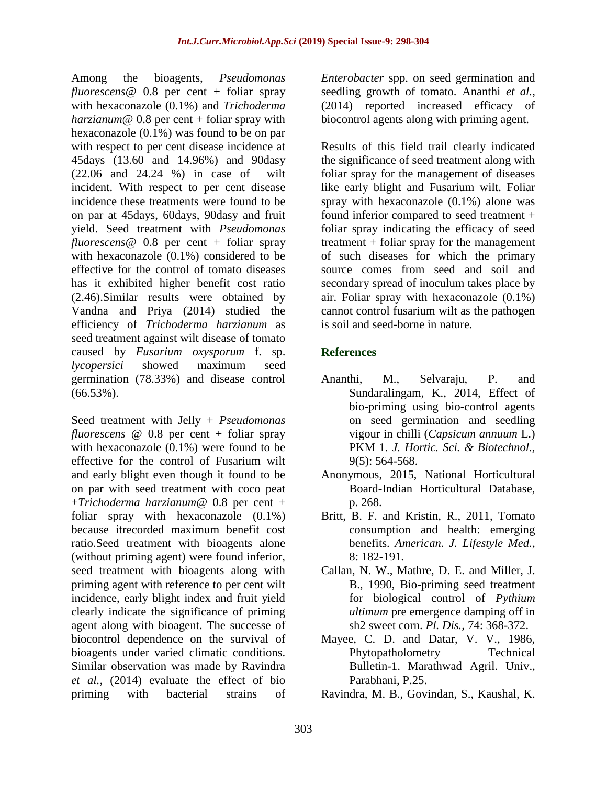Among the bioagents, *Pseudomonas fluorescens*@ 0.8 per cent + foliar spray with hexaconazole (0.1%) and *Trichoderma harzianum*@ 0.8 per cent + foliar spray with hexaconazole (0.1%) was found to be on par with respect to per cent disease incidence at 45days (13.60 and 14.96%) and 90dasy (22.06 and 24.24 %) in case of wilt incident. With respect to per cent disease incidence these treatments were found to be on par at 45days, 60days, 90dasy and fruit yield. Seed treatment with *Pseudomonas fluorescens*@ 0.8 per cent + foliar spray with hexaconazole  $(0.1\%)$  considered to be effective for the control of tomato diseases has it exhibited higher benefit cost ratio (2.46).Similar results were obtained by Vandna and Priya (2014) studied the efficiency of *Trichoderma harzianum* as seed treatment against wilt disease of tomato caused by *Fusarium oxysporum* f. sp. *lycopersici* showed maximum seed germination (78.33%) and disease control (66.53%).

Seed treatment with Jelly + *Pseudomonas fluorescens* @ 0.8 per cent + foliar spray with hexaconazole  $(0.1%)$  were found to be effective for the control of Fusarium wilt and early blight even though it found to be on par with seed treatment with coco peat +*Trichoderma harzianum*@ 0.8 per cent + foliar spray with hexaconazole (0.1%) because itrecorded maximum benefit cost ratio.Seed treatment with bioagents alone (without priming agent) were found inferior, seed treatment with bioagents along with priming agent with reference to per cent wilt incidence, early blight index and fruit yield clearly indicate the significance of priming agent along with bioagent. The successe of biocontrol dependence on the survival of bioagents under varied climatic conditions. Similar observation was made by Ravindra *et al.,* (2014) evaluate the effect of bio priming with bacterial strains of

*Enterobacter* spp. on seed germination and seedling growth of tomato. Ananthi *et al.,* (2014) reported increased efficacy of biocontrol agents along with priming agent.

Results of this field trail clearly indicated the significance of seed treatment along with foliar spray for the management of diseases like early blight and Fusarium wilt. Foliar spray with hexaconazole (0.1%) alone was found inferior compared to seed treatment + foliar spray indicating the efficacy of seed treatment + foliar spray for the management of such diseases for which the primary source comes from seed and soil and secondary spread of inoculum takes place by air. Foliar spray with hexaconazole (0.1%) cannot control fusarium wilt as the pathogen is soil and seed-borne in nature.

## **References**

- Ananthi, M., Selvaraju, P. and Sundaralingam, K., 2014, Effect of bio-priming using bio-control agents on seed germination and seedling vigour in chilli (*Capsicum annuum* L.) PKM 1. *J. Hortic. Sci. & Biotechnol.,* 9(5): 564-568.
- Anonymous, 2015, National Horticultural Board-Indian Horticultural Database, p. 268.
- Britt, B. F. and Kristin, R., 2011, Tomato consumption and health: emerging benefits. *American. J. Lifestyle Med.*, 8: 182-191.
- Callan, N. W., Mathre, D. E. and Miller, J. B., 1990, Bio-priming seed treatment for biological control of *Pythium ultimum* pre emergence damping off in sh2 sweet corn. *Pl. Dis.,* 74: 368-372.
- Mayee, C. D. and Datar, V. V., 1986, Phytopatholometry Technical Bulletin-1. Marathwad Agril. Univ., Parabhani, P.25.
- Ravindra, M. B., Govindan, S., Kaushal, K.